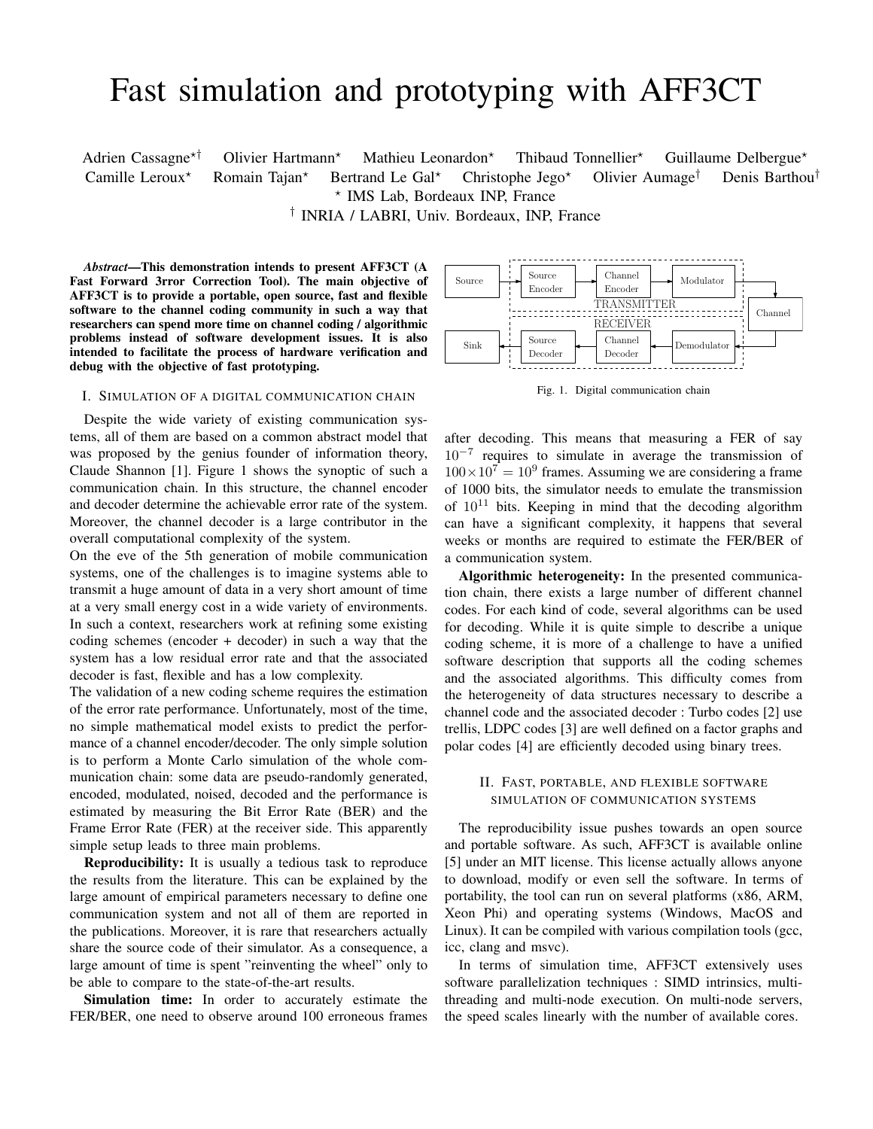# Fast simulation and prototyping with AFF3CT

Adrien Cassagne<sup>\*†</sup> Olivier Hartmann<sup>\*</sup> Mathieu Leonardon<sup>\*</sup> Thibaud Tonnellier<sup>\*</sup> Guillaume Delbergue<sup>\*</sup> Camille Leroux<sup>\*</sup> Romain Tajan<sup>\*</sup> Bertrand Le Gal<sup>\*</sup> Christophe Jego<sup>\*</sup> Olivier Aumage<sup>†</sup> Denis Barthou<sup>†</sup> ? IMS Lab, Bordeaux INP, France

† INRIA / LABRI, Univ. Bordeaux, INP, France

*Abstract*—This demonstration intends to present AFF3CT (A Fast Forward 3rror Correction Tool). The main objective of AFF3CT is to provide a portable, open source, fast and flexible software to the channel coding community in such a way that researchers can spend more time on channel coding / algorithmic problems instead of software development issues. It is also intended to facilitate the process of hardware verification and debug with the objective of fast prototyping.

#### I. SIMULATION OF A DIGITAL COMMUNICATION CHAIN

Despite the wide variety of existing communication systems, all of them are based on a common abstract model that was proposed by the genius founder of information theory, Claude Shannon [1]. Figure 1 shows the synoptic of such a communication chain. In this structure, the channel encoder and decoder determine the achievable error rate of the system. Moreover, the channel decoder is a large contributor in the overall computational complexity of the system.

On the eve of the 5th generation of mobile communication systems, one of the challenges is to imagine systems able to transmit a huge amount of data in a very short amount of time at a very small energy cost in a wide variety of environments. In such a context, researchers work at refining some existing coding schemes (encoder + decoder) in such a way that the system has a low residual error rate and that the associated decoder is fast, flexible and has a low complexity.

The validation of a new coding scheme requires the estimation of the error rate performance. Unfortunately, most of the time, no simple mathematical model exists to predict the performance of a channel encoder/decoder. The only simple solution is to perform a Monte Carlo simulation of the whole communication chain: some data are pseudo-randomly generated, encoded, modulated, noised, decoded and the performance is estimated by measuring the Bit Error Rate (BER) and the Frame Error Rate (FER) at the receiver side. This apparently simple setup leads to three main problems.

Reproducibility: It is usually a tedious task to reproduce the results from the literature. This can be explained by the large amount of empirical parameters necessary to define one communication system and not all of them are reported in the publications. Moreover, it is rare that researchers actually share the source code of their simulator. As a consequence, a large amount of time is spent "reinventing the wheel" only to be able to compare to the state-of-the-art results.

Simulation time: In order to accurately estimate the FER/BER, one need to observe around 100 erroneous frames



Fig. 1. Digital communication chain

after decoding. This means that measuring a FER of say 10<sup>−</sup><sup>7</sup> requires to simulate in average the transmission of  $100\times10^{7} = 10^{9}$  frames. Assuming we are considering a frame of 1000 bits, the simulator needs to emulate the transmission of  $10^{11}$  bits. Keeping in mind that the decoding algorithm can have a significant complexity, it happens that several weeks or months are required to estimate the FER/BER of a communication system.

Algorithmic heterogeneity: In the presented communication chain, there exists a large number of different channel codes. For each kind of code, several algorithms can be used for decoding. While it is quite simple to describe a unique coding scheme, it is more of a challenge to have a unified software description that supports all the coding schemes and the associated algorithms. This difficulty comes from the heterogeneity of data structures necessary to describe a channel code and the associated decoder : Turbo codes [2] use trellis, LDPC codes [3] are well defined on a factor graphs and polar codes [4] are efficiently decoded using binary trees.

# II. FAST, PORTABLE, AND FLEXIBLE SOFTWARE SIMULATION OF COMMUNICATION SYSTEMS

The reproducibility issue pushes towards an open source and portable software. As such, AFF3CT is available online [5] under an MIT license. This license actually allows anyone to download, modify or even sell the software. In terms of portability, the tool can run on several platforms (x86, ARM, Xeon Phi) and operating systems (Windows, MacOS and Linux). It can be compiled with various compilation tools (gcc, icc, clang and msvc).

In terms of simulation time, AFF3CT extensively uses software parallelization techniques : SIMD intrinsics, multithreading and multi-node execution. On multi-node servers, the speed scales linearly with the number of available cores.